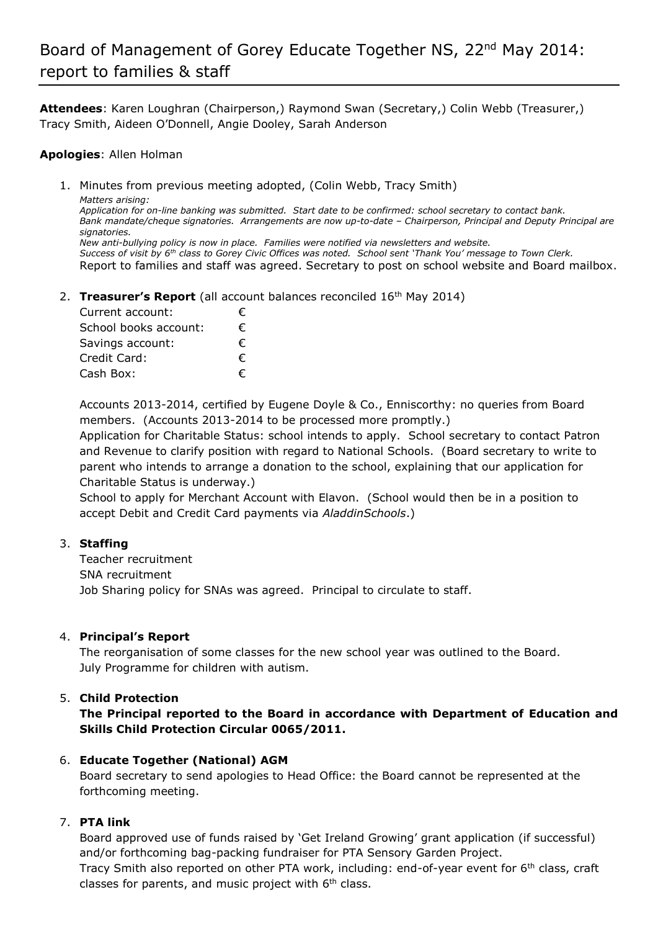# Board of Management of Gorey Educate Together NS, 22<sup>nd</sup> May 2014: report to families & staff

**Attendees**: Karen Loughran (Chairperson,) Raymond Swan (Secretary,) Colin Webb (Treasurer,) Tracy Smith, Aideen O'Donnell, Angie Dooley, Sarah Anderson

#### **Apologies**: Allen Holman

1. Minutes from previous meeting adopted, (Colin Webb, Tracy Smith) *Matters arising: Application for on-line banking was submitted. Start date to be confirmed: school secretary to contact bank. Bank mandate/cheque signatories. Arrangements are now up-to-date – Chairperson, Principal and Deputy Principal are signatories. New anti-bullying policy is now in place. Families were notified via newsletters and website. Success of visit by 6th class to Gorey Civic Offices was noted. School sent 'Thank You' message to Town Clerk.*  Report to families and staff was agreed. Secretary to post on school website and Board mailbox.

2. **Treasurer's Report** (all account balances reconciled 16<sup>th</sup> May 2014)

| Current account:      | € |
|-----------------------|---|
| School books account: | € |
| Savings account:      | € |
| Credit Card:          | € |
| Cash Box:             | € |

Accounts 2013-2014, certified by Eugene Doyle & Co., Enniscorthy: no queries from Board members. (Accounts 2013-2014 to be processed more promptly.)

Application for Charitable Status: school intends to apply. School secretary to contact Patron and Revenue to clarify position with regard to National Schools. (Board secretary to write to parent who intends to arrange a donation to the school, explaining that our application for Charitable Status is underway.)

School to apply for Merchant Account with Elavon. (School would then be in a position to accept Debit and Credit Card payments via *AladdinSchools*.)

#### 3. **Staffing**

Teacher recruitment SNA recruitment Job Sharing policy for SNAs was agreed. Principal to circulate to staff.

#### 4. **Principal's Report**

The reorganisation of some classes for the new school year was outlined to the Board. July Programme for children with autism.

#### 5. **Child Protection**

**The Principal reported to the Board in accordance with Department of Education and Skills Child Protection Circular 0065/2011.**

#### 6. **Educate Together (National) AGM**

Board secretary to send apologies to Head Office: the Board cannot be represented at the forthcoming meeting.

#### 7. **PTA link**

Board approved use of funds raised by 'Get Ireland Growing' grant application (if successful) and/or forthcoming bag-packing fundraiser for PTA Sensory Garden Project.

Tracy Smith also reported on other PTA work, including: end-of-year event for 6<sup>th</sup> class, craft classes for parents, and music project with  $6<sup>th</sup>$  class.